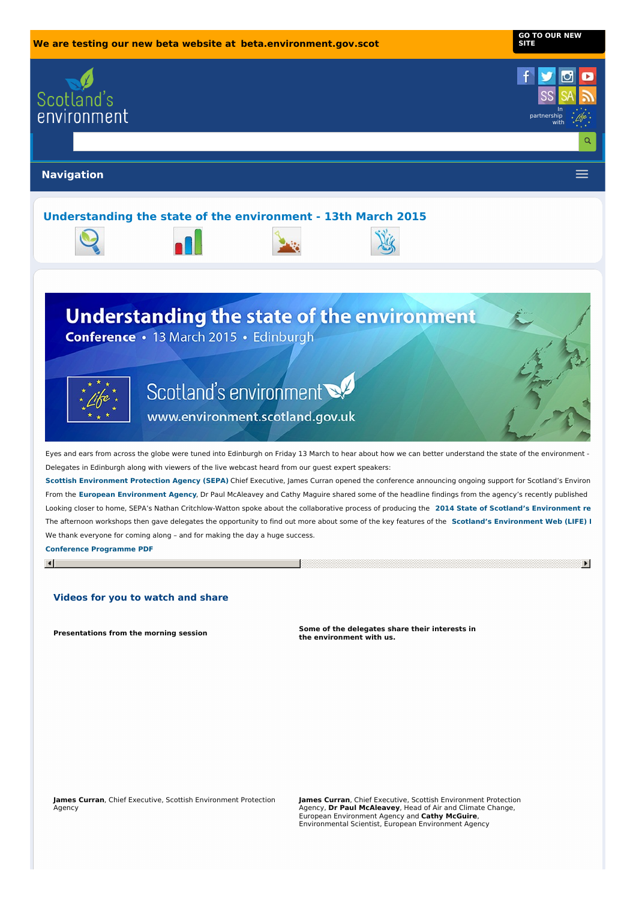

**Presentations from the morning session Some of the delegates share their interests in the environment with us.**

**James Curran**, Chief Executive, Scottish Environment Protection Agency

**James Curran**, Chief Executive, Scottish Environment Protection Agency, **Dr Paul McAleavey**, Head of Air and Climate Change, European Environment Agency and **Cathy McGuire**, Environmental Scientist, European Environment Agency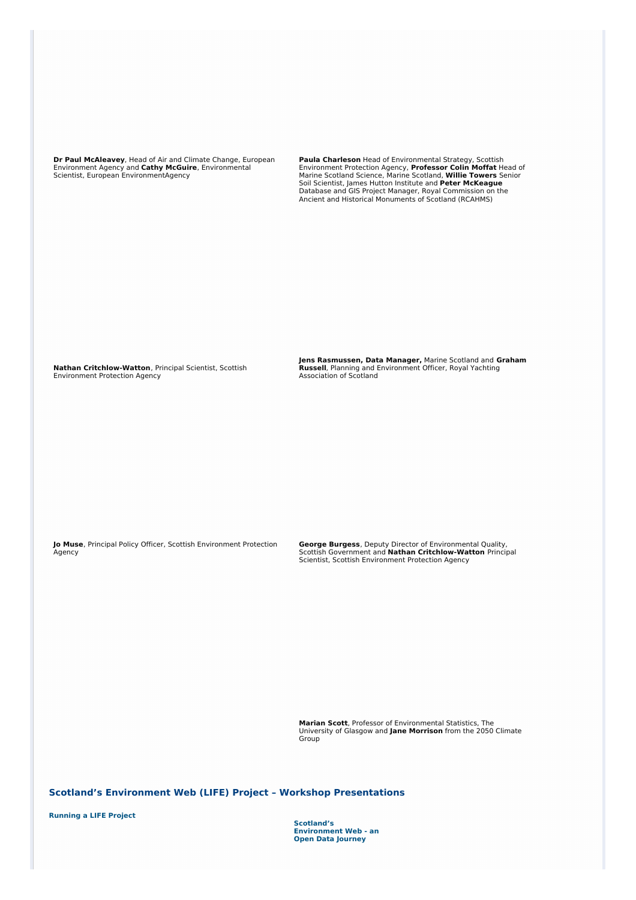**Dr Paul McAleavey**, Head of Air and Climate Change, European Environment Agency and **Cathy McGuire**, Environmental Scientist, European EnvironmentAgency

**Paula Charleson** Head of Environmental Strategy, Scottish<br>Environment Protection Agency, **Professor Colin Moffat H**ead of<br>Marine Scotland Science, Marine Scotland, **Willie Towers** Senior<br>Soil Scientist, James Hutton Insti Database and GIS Project Manager, Royal Commission on the Ancient and Historical Monuments of Scotland (RCAHMS)

**Nathan Critchlow-Watton**, Principal Scientist, Scottish Environment Protection Agency

**Jens Rasmussen, Data Manager,** Marine Scotland and **Graham Russell**, Planning and Environment Officer, Royal Yachting Association of Scotland

**Jo Muse**, Principal Policy Officer, Scottish Environment Protection Agency

**George Burgess**, Deputy Director of Environmental Quality, Scottish Government and **Nathan Critchlow-Watton** Principal Scientist, Scottish Environment Protection Agency

**Marian Scott**, Professor of Environmental Statistics, The University of Glasgow and **Jane Morrison** from the 2050 Climate Group

**Scotland's Environment Web (LIFE) Project – Workshop Presentations**

**[Running](http://www.environment.scotland.gov.uk/media/100353/seweb_running_a_project_presentation.pdf) a LIFE Project**

**Scotland's [Environment](http://www.environment.scotland.gov.uk/media/100357/data_journey_presentations.pdf) Web - an Open Data Journey**